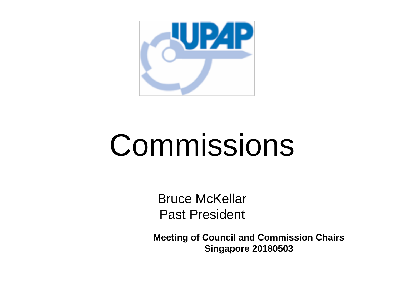

## Commissions

Bruce McKellar Past President

**Meeting of Council and Commission Chairs Singapore 20180503**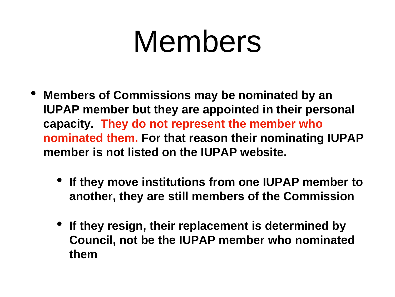#### Members

- **Members of Commissions may be nominated by an IUPAP member but they are appointed in their personal capacity. They do not represent the member who nominated them. For that reason their nominating IUPAP member is not listed on the IUPAP website.**
	- **If they move institutions from one IUPAP member to another, they are still members of the Commission**
	- **If they resign, their replacement is determined by Council, not be the IUPAP member who nominated them**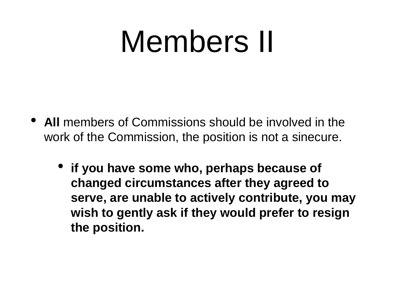### Members II

- **All** members of Commissions should be involved in the work of the Commission, the position is not a sinecure.
	- **if you have some who, perhaps because of changed circumstances after they agreed to serve, are unable to actively contribute, you may wish to gently ask if they would prefer to resign the position.**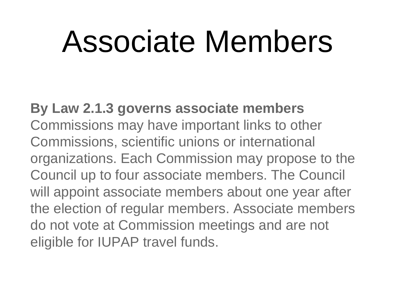### Associate Members

**By Law 2.1.3 governs associate members**  Commissions may have important links to other Commissions, scientific unions or international organizations. Each Commission may propose to the Council up to four associate members. The Council will appoint associate members about one year after the election of regular members. Associate members do not vote at Commission meetings and are not eligible for IUPAP travel funds.